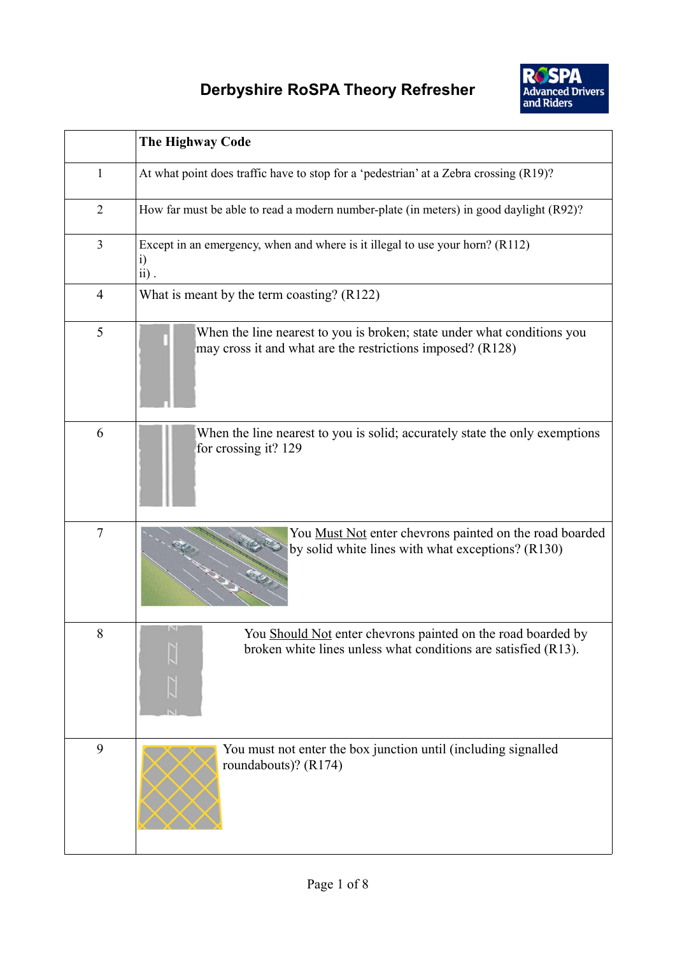

|                | The Highway Code                                                                                                                               |
|----------------|------------------------------------------------------------------------------------------------------------------------------------------------|
| 1              | At what point does traffic have to stop for a 'pedestrian' at a Zebra crossing (R19)?                                                          |
| $\overline{2}$ | How far must be able to read a modern number-plate (in meters) in good daylight (R92)?                                                         |
| $\overline{3}$ | Except in an emergency, when and where is it illegal to use your horn? (R112)<br>$\ddot{1}$<br>$ii)$ .                                         |
| $\overline{4}$ | What is meant by the term coasting? (R122)                                                                                                     |
| 5              | When the line nearest to you is broken; state under what conditions you<br>may cross it and what are the restrictions imposed? (R128)          |
| 6              | When the line nearest to you is solid; accurately state the only exemptions<br>for crossing it? 129                                            |
| $\overline{7}$ | You Must Not enter chevrons painted on the road boarded<br>by solid white lines with what exceptions? (R130)                                   |
| 8              | $\mathbb{N}$<br>You Should Not enter chevrons painted on the road boarded by<br>broken white lines unless what conditions are satisfied (R13). |
| 9              | You must not enter the box junction until (including signalled<br>roundabouts)? (R174)                                                         |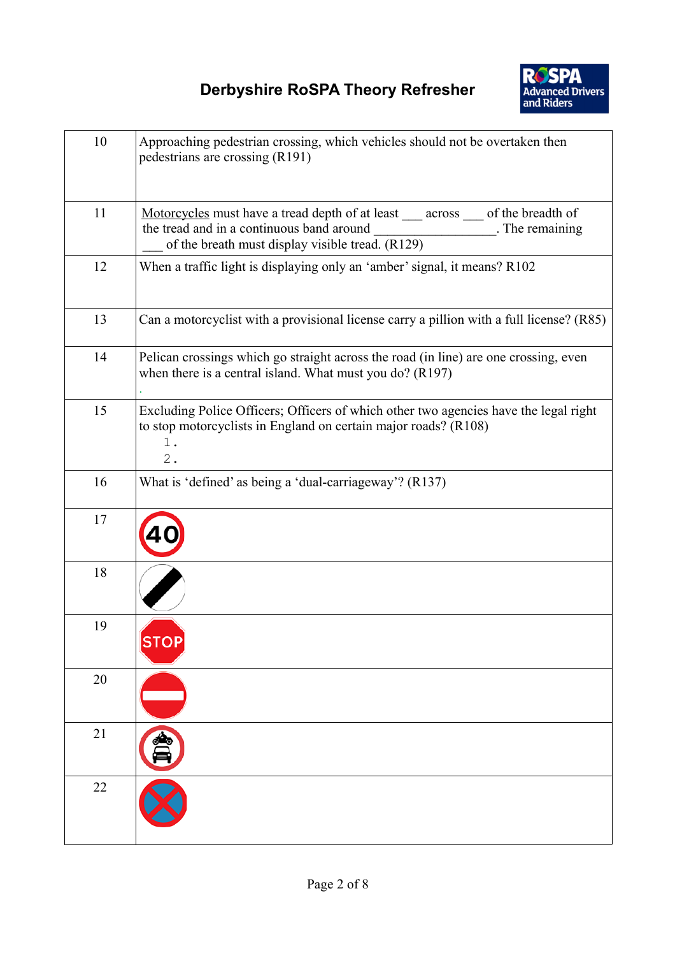

| 10 | Approaching pedestrian crossing, which vehicles should not be overtaken then<br>pedestrians are crossing (R191)                                                                                                       |
|----|-----------------------------------------------------------------------------------------------------------------------------------------------------------------------------------------------------------------------|
| 11 | Motorcycles must have a tread depth of at least ___ across ___ of the breadth of<br><b>Example 2.1 The remaining</b><br>the tread and in a continuous band around<br>of the breath must display visible tread. (R129) |
| 12 | When a traffic light is displaying only an 'amber' signal, it means? R102                                                                                                                                             |
| 13 | Can a motorcyclist with a provisional license carry a pillion with a full license? (R85)                                                                                                                              |
| 14 | Pelican crossings which go straight across the road (in line) are one crossing, even<br>when there is a central island. What must you do? (R197)                                                                      |
| 15 | Excluding Police Officers; Officers of which other two agencies have the legal right<br>to stop motorcyclists in England on certain major roads? (R108)<br>$1$ .<br>$2$ .                                             |
| 16 | What is 'defined' as being a 'dual-carriageway'? (R137)                                                                                                                                                               |
| 17 |                                                                                                                                                                                                                       |
| 18 |                                                                                                                                                                                                                       |
| 19 | <b>SIO</b>                                                                                                                                                                                                            |
| 20 |                                                                                                                                                                                                                       |
| 21 |                                                                                                                                                                                                                       |
| 22 |                                                                                                                                                                                                                       |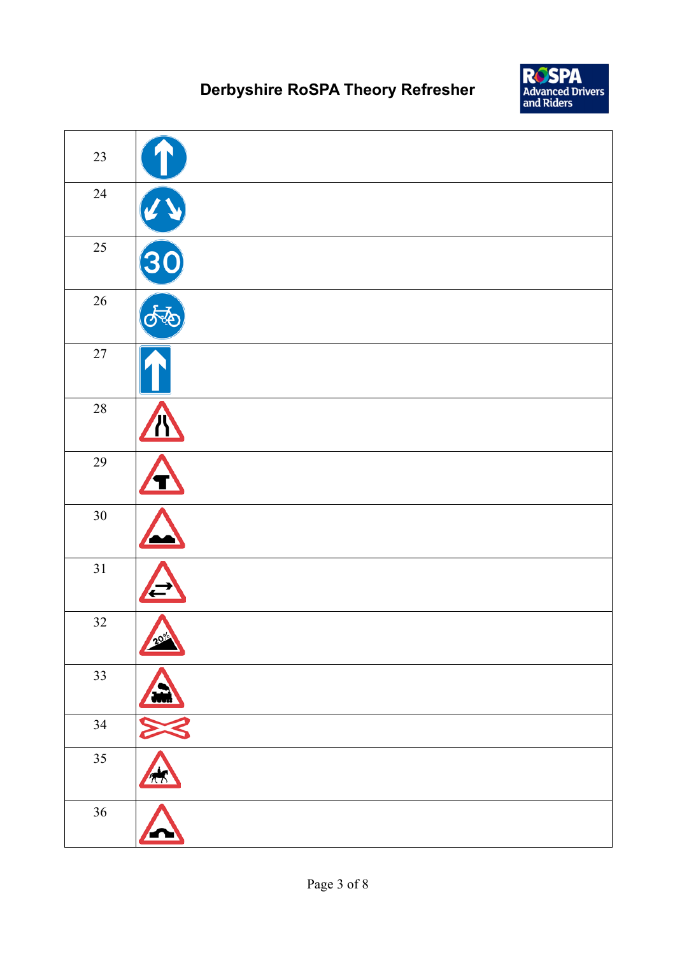

| 23     |                  |
|--------|------------------|
| $24\,$ |                  |
| 25     | $\ddot{\bullet}$ |
| 26     |                  |
| $27\,$ |                  |
| $28\,$ |                  |
| $29\,$ |                  |
| $30\,$ |                  |
| 31     |                  |
| 32     | 20%<br>Δ         |
| 33     |                  |
| 34     |                  |
| 35     | $\sqrt{2}$       |
| 36     |                  |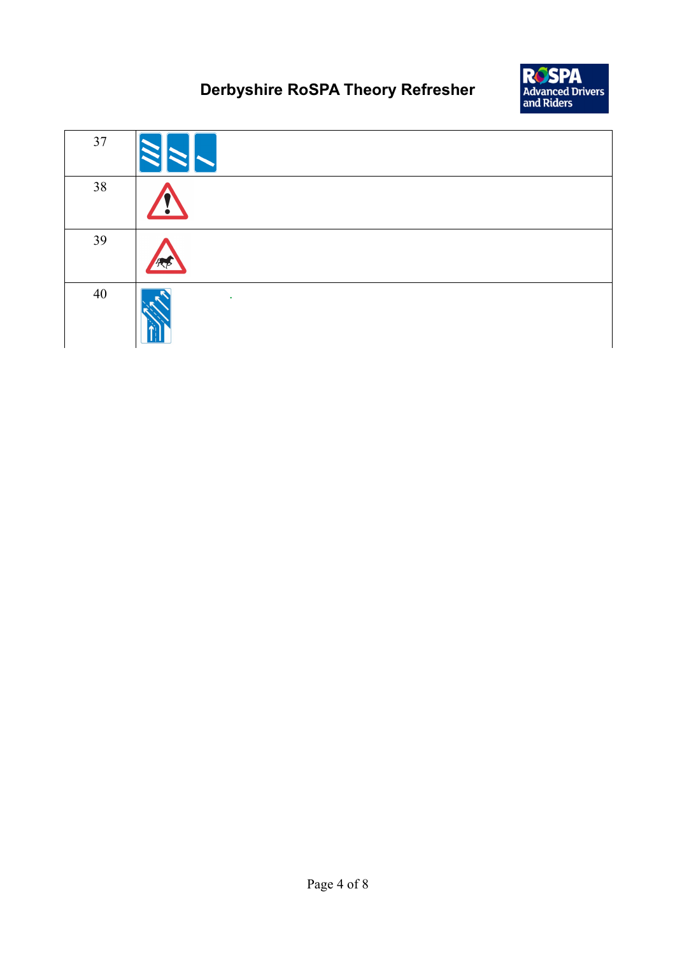

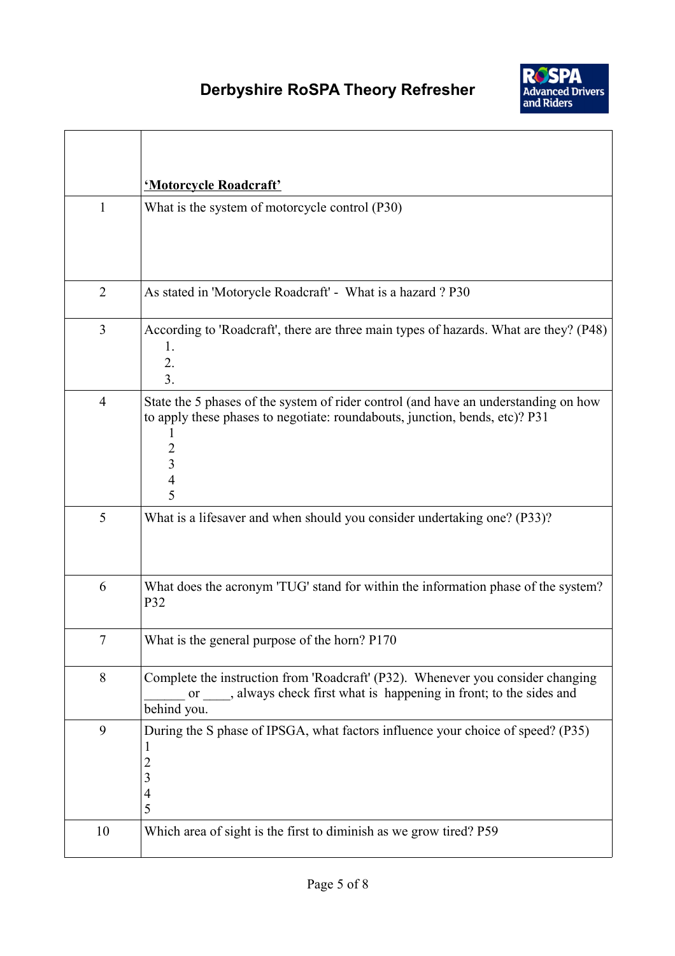

|                | 'Motorcycle Roadcraft'                                                                                                                                                                                 |
|----------------|--------------------------------------------------------------------------------------------------------------------------------------------------------------------------------------------------------|
| $\mathbf{1}$   | What is the system of motorcycle control (P30)                                                                                                                                                         |
| $\overline{2}$ | As stated in 'Motorycle Roadcraft' - What is a hazard ? P30                                                                                                                                            |
| 3              | According to 'Roadcraft', there are three main types of hazards. What are they? (P48)<br>1.<br>2.<br>3.                                                                                                |
| $\overline{4}$ | State the 5 phases of the system of rider control (and have an understanding on how<br>to apply these phases to negotiate: roundabouts, junction, bends, etc)? P31<br><sup>1</sup><br>2<br>3<br>4<br>5 |
| 5              | What is a lifesaver and when should you consider undertaking one? (P33)?                                                                                                                               |
| 6              | What does the acronym 'TUG' stand for within the information phase of the system?<br>P32                                                                                                               |
| 7              | What is the general purpose of the horn? P170                                                                                                                                                          |
| 8              | Complete the instruction from 'Roadcraft' (P32). Whenever you consider changing<br>or ____, always check first what is happening in front; to the sides and<br>behind you.                             |
| 9              | During the S phase of IPSGA, what factors influence your choice of speed? (P35)<br>1<br>2<br>3<br>$\overline{4}$<br>5                                                                                  |
| 10             | Which area of sight is the first to diminish as we grow tired? P59                                                                                                                                     |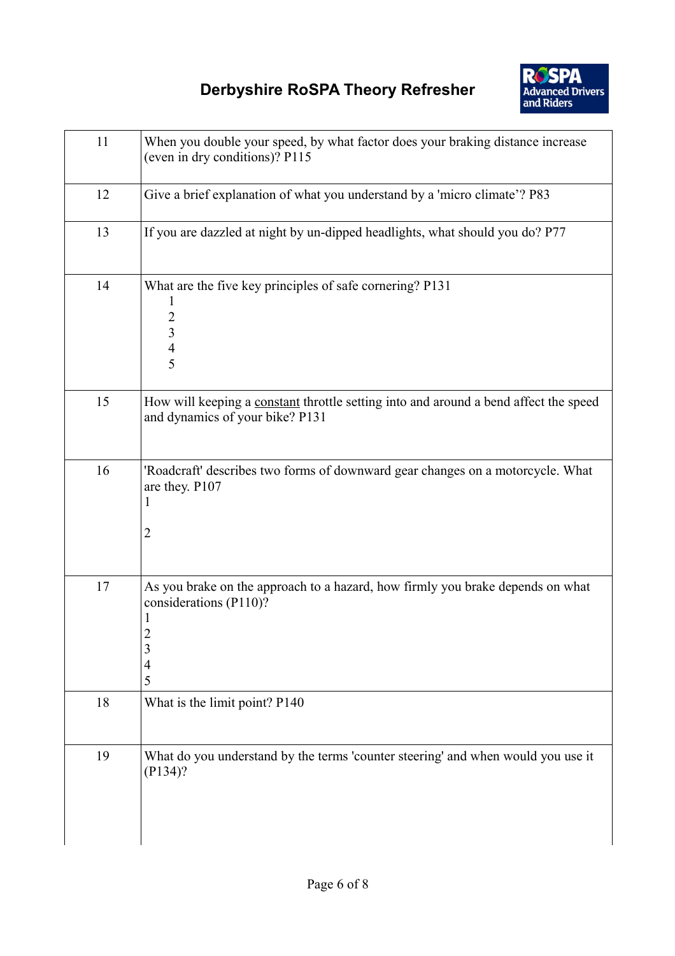

| 11 | When you double your speed, by what factor does your braking distance increase<br>(even in dry conditions)? P115                               |
|----|------------------------------------------------------------------------------------------------------------------------------------------------|
| 12 | Give a brief explanation of what you understand by a 'micro climate'? P83                                                                      |
| 13 | If you are dazzled at night by un-dipped headlights, what should you do? P77                                                                   |
| 14 | What are the five key principles of safe cornering? P131<br>1<br>$\overline{c}$<br>$\overline{\mathbf{3}}$<br>$\overline{4}$<br>$\overline{5}$ |
| 15 | How will keeping a constant throttle setting into and around a bend affect the speed<br>and dynamics of your bike? P131                        |
| 16 | 'Roadcraft' describes two forms of downward gear changes on a motorcycle. What<br>are they. P107<br>1<br>$\overline{2}$                        |
| 17 | As you brake on the approach to a hazard, how firmly you brake depends on what<br>considerations (P110)?<br>2<br>3<br>4<br>5                   |
| 18 | What is the limit point? P140                                                                                                                  |
| 19 | What do you understand by the terms 'counter steering' and when would you use it<br>$(P134)$ ?                                                 |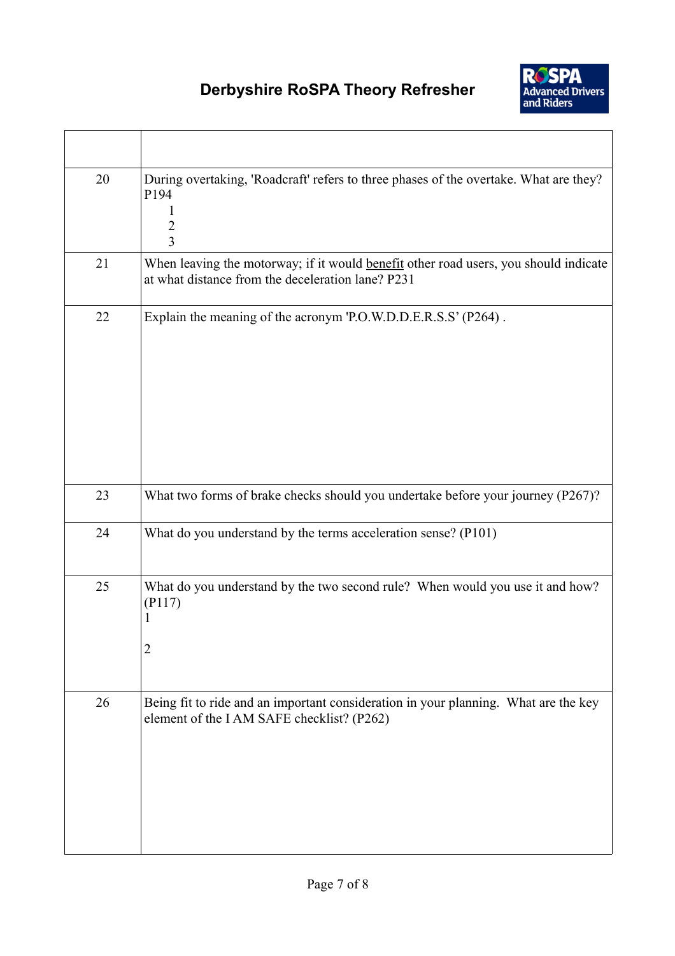

| 20 | During overtaking, 'Roadcraft' refers to three phases of the overtake. What are they?<br>P194<br>$\overline{2}$<br>3                      |
|----|-------------------------------------------------------------------------------------------------------------------------------------------|
| 21 | When leaving the motorway; if it would benefit other road users, you should indicate<br>at what distance from the deceleration lane? P231 |
| 22 | Explain the meaning of the acronym 'P.O.W.D.D.E.R.S.S' (P264).                                                                            |
| 23 | What two forms of brake checks should you undertake before your journey (P267)?                                                           |
| 24 | What do you understand by the terms acceleration sense? (P101)                                                                            |
| 25 | What do you understand by the two second rule? When would you use it and how?<br>(P117)<br>1<br>$\overline{c}$                            |
| 26 | Being fit to ride and an important consideration in your planning. What are the key<br>element of the IAM SAFE checklist? (P262)          |